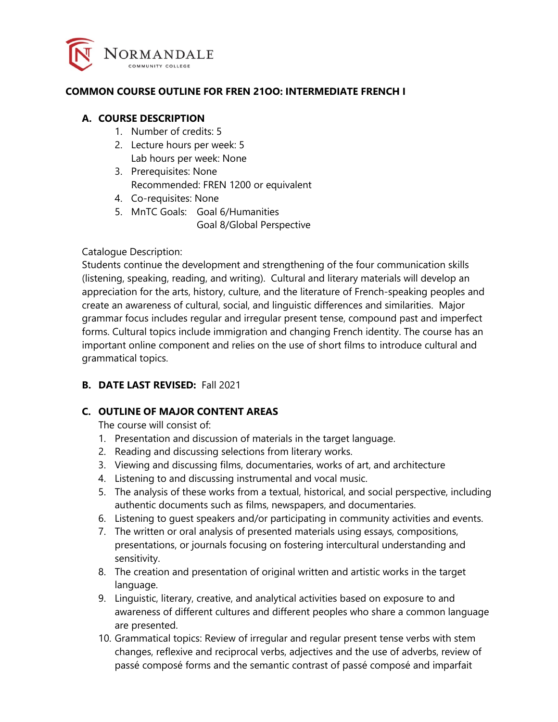

#### **COMMON COURSE OUTLINE FOR FREN 21OO: INTERMEDIATE FRENCH I**

#### **A. COURSE DESCRIPTION**

- 1. Number of credits: 5
- 2. Lecture hours per week: 5 Lab hours per week: None
- 3. Prerequisites: None Recommended: FREN 1200 or equivalent
- 4. Co-requisites: None
- 5. MnTC Goals: Goal 6/Humanities Goal 8/Global Perspective

Catalogue Description:

Students continue the development and strengthening of the four communication skills (listening, speaking, reading, and writing). Cultural and literary materials will develop an appreciation for the arts, history, culture, and the literature of French-speaking peoples and create an awareness of cultural, social, and linguistic differences and similarities. Major grammar focus includes regular and irregular present tense, compound past and imperfect forms. Cultural topics include immigration and changing French identity. The course has an important online component and relies on the use of short films to introduce cultural and grammatical topics.

### **B. DATE LAST REVISED:** Fall 2021

### **C. OUTLINE OF MAJOR CONTENT AREAS**

The course will consist of:

- 1. Presentation and discussion of materials in the target language.
- 2. Reading and discussing selections from literary works.
- 3. Viewing and discussing films, documentaries, works of art, and architecture
- 4. Listening to and discussing instrumental and vocal music.
- 5. The analysis of these works from a textual, historical, and social perspective, including authentic documents such as films, newspapers, and documentaries.
- 6. Listening to guest speakers and/or participating in community activities and events.
- 7. The written or oral analysis of presented materials using essays, compositions, presentations, or journals focusing on fostering intercultural understanding and sensitivity.
- 8. The creation and presentation of original written and artistic works in the target language.
- 9. Linguistic, literary, creative, and analytical activities based on exposure to and awareness of different cultures and different peoples who share a common language are presented.
- 10. Grammatical topics: Review of irregular and regular present tense verbs with stem changes, reflexive and reciprocal verbs, adjectives and the use of adverbs, review of passé composé forms and the semantic contrast of passé composé and imparfait